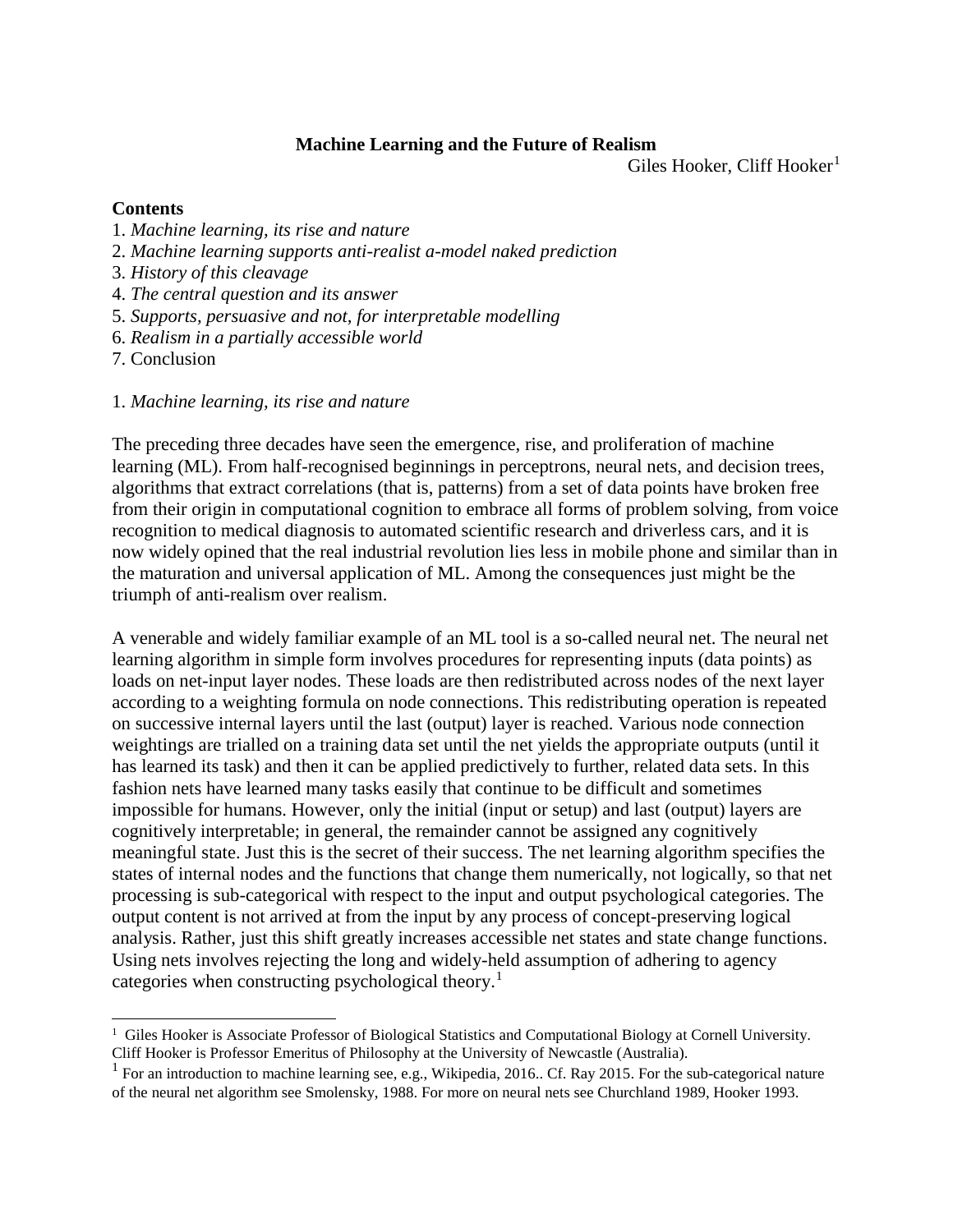#### **Machine Learning and the Future of Realism**

Giles Hooker, Cliff Hooker<sup>[1](#page-0-0)</sup>

### **Contents**

- 1. *Machine learning, its rise and nature*
- 2. *Machine learning supports anti-realist a-model naked prediction*
- 3. *History of this cleavage*
- 4. *The central question and its answer*
- 5. *Supports, persuasive and not, for interpretable modelling*
- 6. *Realism in a partially accessible world*

7. Conclusion

1. *Machine learning, its rise and nature*

The preceding three decades have seen the emergence, rise, and proliferation of machine learning (ML). From half-recognised beginnings in perceptrons, neural nets, and decision trees, algorithms that extract correlations (that is, patterns) from a set of data points have broken free from their origin in computational cognition to embrace all forms of problem solving, from voice recognition to medical diagnosis to automated scientific research and driverless cars, and it is now widely opined that the real industrial revolution lies less in mobile phone and similar than in the maturation and universal application of ML. Among the consequences just might be the triumph of anti-realism over realism.

A venerable and widely familiar example of an ML tool is a so-called neural net. The neural net learning algorithm in simple form involves procedures for representing inputs (data points) as loads on net-input layer nodes. These loads are then redistributed across nodes of the next layer according to a weighting formula on node connections. This redistributing operation is repeated on successive internal layers until the last (output) layer is reached. Various node connection weightings are trialled on a training data set until the net yields the appropriate outputs (until it has learned its task) and then it can be applied predictively to further, related data sets. In this fashion nets have learned many tasks easily that continue to be difficult and sometimes impossible for humans. However, only the initial (input or setup) and last (output) layers are cognitively interpretable; in general, the remainder cannot be assigned any cognitively meaningful state. Just this is the secret of their success. The net learning algorithm specifies the states of internal nodes and the functions that change them numerically, not logically, so that net processing is sub-categorical with respect to the input and output psychological categories. The output content is not arrived at from the input by any process of concept-preserving logical analysis. Rather, just this shift greatly increases accessible net states and state change functions. Using nets involves rejecting the long and widely-held assumption of adhering to agency categories when constructing psychological theory.<sup>[1](#page-0-1)</sup>

<span id="page-0-0"></span><sup>&</sup>lt;sup>1</sup> Giles Hooker is Associate Professor of Biological Statistics and Computational Biology at Cornell University.<br>Cliff Hooker is Professor Emeritus of Philosophy at the University of Newcastle (Australia).

<span id="page-0-1"></span><sup>&</sup>lt;sup>1</sup> For an introduction to machine learning see, e.g., Wikipedia, 2016.. Cf. Ray 2015. For the sub-categorical nature of the neural net algorithm see Smolensky, 1988. For more on neural nets see Churchland 1989, Hooker 1993.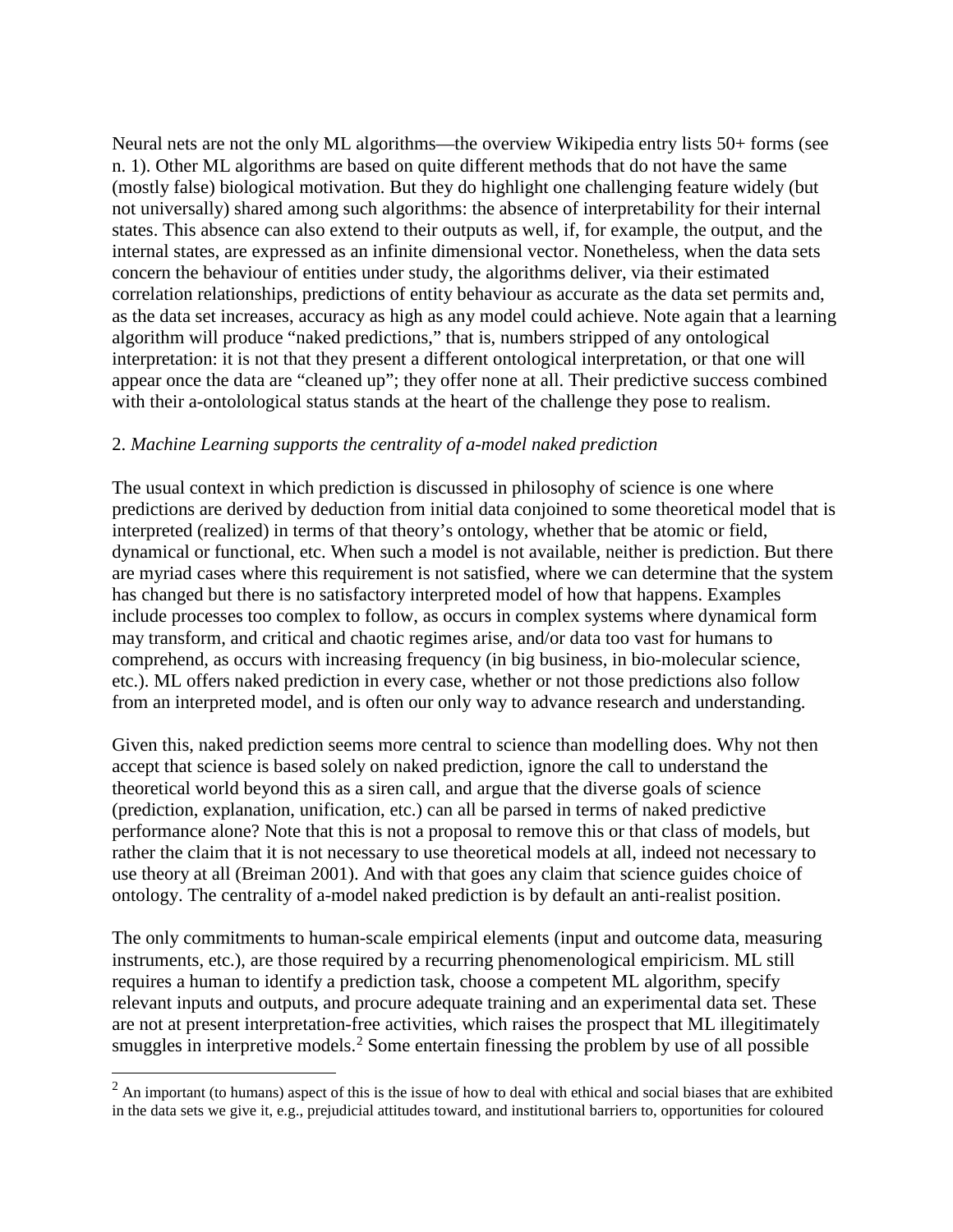Neural nets are not the only ML algorithms—the overview Wikipedia entry lists 50+ forms (see n. 1). Other ML algorithms are based on quite different methods that do not have the same (mostly false) biological motivation. But they do highlight one challenging feature widely (but not universally) shared among such algorithms: the absence of interpretability for their internal states. This absence can also extend to their outputs as well, if, for example, the output, and the internal states, are expressed as an infinite dimensional vector. Nonetheless, when the data sets concern the behaviour of entities under study, the algorithms deliver, via their estimated correlation relationships, predictions of entity behaviour as accurate as the data set permits and, as the data set increases, accuracy as high as any model could achieve. Note again that a learning algorithm will produce "naked predictions," that is, numbers stripped of any ontological interpretation: it is not that they present a different ontological interpretation, or that one will appear once the data are "cleaned up"; they offer none at all. Their predictive success combined with their a-ontolological status stands at the heart of the challenge they pose to realism.

### 2. *Machine Learning supports the centrality of a-model naked prediction*

The usual context in which prediction is discussed in philosophy of science is one where predictions are derived by deduction from initial data conjoined to some theoretical model that is interpreted (realized) in terms of that theory's ontology, whether that be atomic or field, dynamical or functional, etc. When such a model is not available, neither is prediction. But there are myriad cases where this requirement is not satisfied, where we can determine that the system has changed but there is no satisfactory interpreted model of how that happens. Examples include processes too complex to follow, as occurs in complex systems where dynamical form may transform, and critical and chaotic regimes arise, and/or data too vast for humans to comprehend, as occurs with increasing frequency (in big business, in bio-molecular science, etc.). ML offers naked prediction in every case, whether or not those predictions also follow from an interpreted model, and is often our only way to advance research and understanding.

Given this, naked prediction seems more central to science than modelling does. Why not then accept that science is based solely on naked prediction, ignore the call to understand the theoretical world beyond this as a siren call, and argue that the diverse goals of science (prediction, explanation, unification, etc.) can all be parsed in terms of naked predictive performance alone? Note that this is not a proposal to remove this or that class of models, but rather the claim that it is not necessary to use theoretical models at all, indeed not necessary to use theory at all (Breiman 2001). And with that goes any claim that science guides choice of ontology. The centrality of a-model naked prediction is by default an anti-realist position.

The only commitments to human-scale empirical elements (input and outcome data, measuring instruments, etc.), are those required by a recurring phenomenological empiricism. ML still requires a human to identify a prediction task, choose a competent ML algorithm, specify relevant inputs and outputs, and procure adequate training and an experimental data set. These are not at present interpretation-free activities, which raises the prospect that ML illegitimately smuggles in interpretive models.<sup>[2](#page-1-0)</sup> Some entertain finessing the problem by use of all possible

<span id="page-1-0"></span> $2$  An important (to humans) aspect of this is the issue of how to deal with ethical and social biases that are exhibited in the data sets we give it, e.g., prejudicial attitudes toward, and institutional barriers to, opportunities for coloured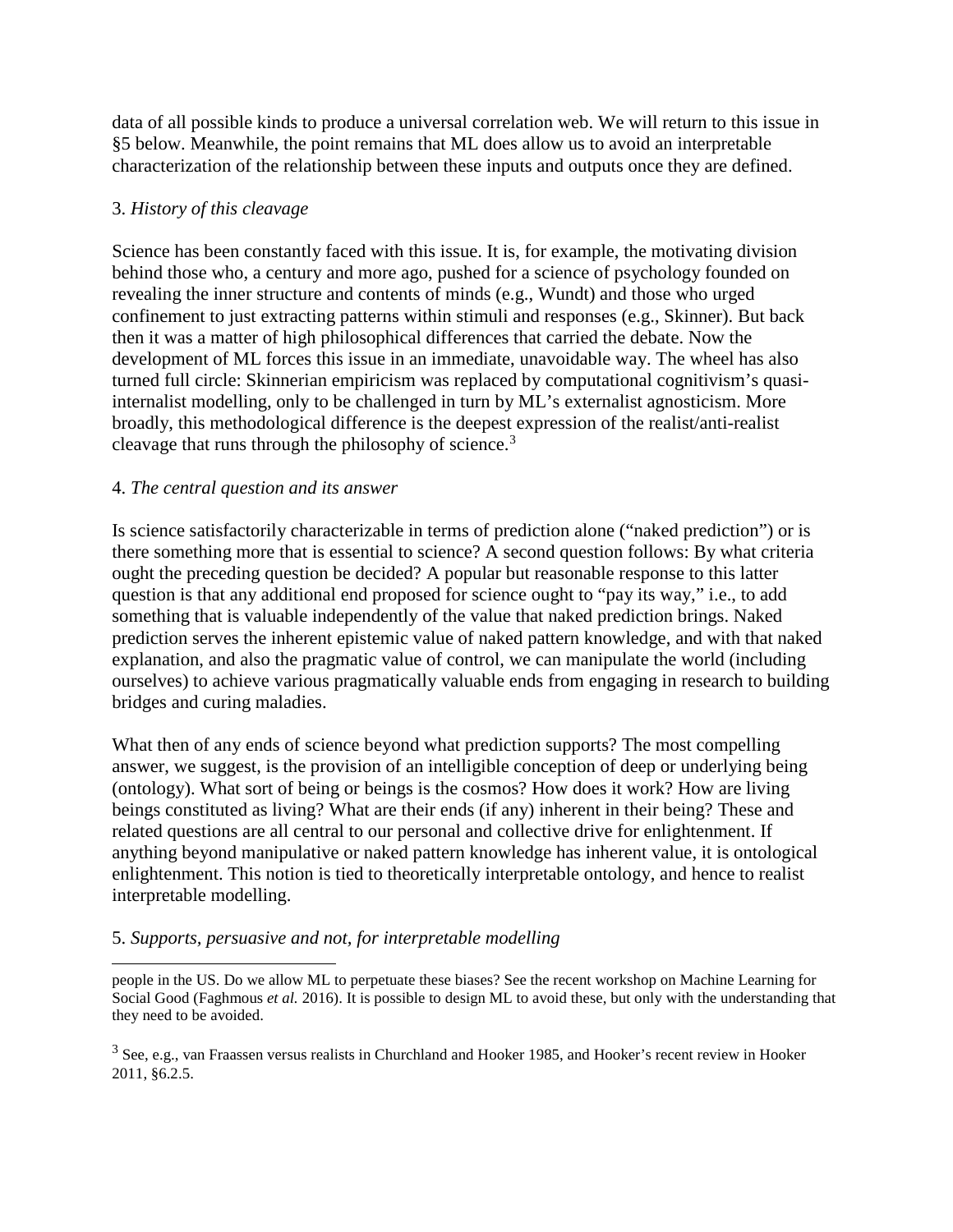data of all possible kinds to produce a universal correlation web. We will return to this issue in §5 below. Meanwhile, the point remains that ML does allow us to avoid an interpretable characterization of the relationship between these inputs and outputs once they are defined.

## 3. *History of this cleavage*

Science has been constantly faced with this issue. It is, for example, the motivating division behind those who, a century and more ago, pushed for a science of psychology founded on revealing the inner structure and contents of minds (e.g., Wundt) and those who urged confinement to just extracting patterns within stimuli and responses (e.g., Skinner). But back then it was a matter of high philosophical differences that carried the debate. Now the development of ML forces this issue in an immediate, unavoidable way. The wheel has also turned full circle: Skinnerian empiricism was replaced by computational cognitivism's quasiinternalist modelling, only to be challenged in turn by ML's externalist agnosticism. More broadly, this methodological difference is the deepest expression of the realist/anti-realist cleavage that runs through the philosophy of science.<sup>[3](#page-2-0)</sup>

### 4. *The central question and its answer*

Is science satisfactorily characterizable in terms of prediction alone ("naked prediction") or is there something more that is essential to science? A second question follows: By what criteria ought the preceding question be decided? A popular but reasonable response to this latter question is that any additional end proposed for science ought to "pay its way," i.e., to add something that is valuable independently of the value that naked prediction brings. Naked prediction serves the inherent epistemic value of naked pattern knowledge, and with that naked explanation, and also the pragmatic value of control, we can manipulate the world (including ourselves) to achieve various pragmatically valuable ends from engaging in research to building bridges and curing maladies.

What then of any ends of science beyond what prediction supports? The most compelling answer, we suggest, is the provision of an intelligible conception of deep or underlying being (ontology). What sort of being or beings is the cosmos? How does it work? How are living beings constituted as living? What are their ends (if any) inherent in their being? These and related questions are all central to our personal and collective drive for enlightenment. If anything beyond manipulative or naked pattern knowledge has inherent value, it is ontological enlightenment. This notion is tied to theoretically interpretable ontology, and hence to realist interpretable modelling.

# 5. *Supports, persuasive and not, for interpretable modelling*

 $\overline{a}$ people in the US. Do we allow ML to perpetuate these biases? See the recent workshop on Machine Learning for Social Good (Faghmous *et al.* 2016). It is possible to design ML to avoid these, but only with the understanding that they need to be avoided.

<span id="page-2-0"></span><sup>3</sup> See, e.g., van Fraassen versus realists in Churchland and Hooker 1985, and Hooker's recent review in Hooker 2011, §6.2.5.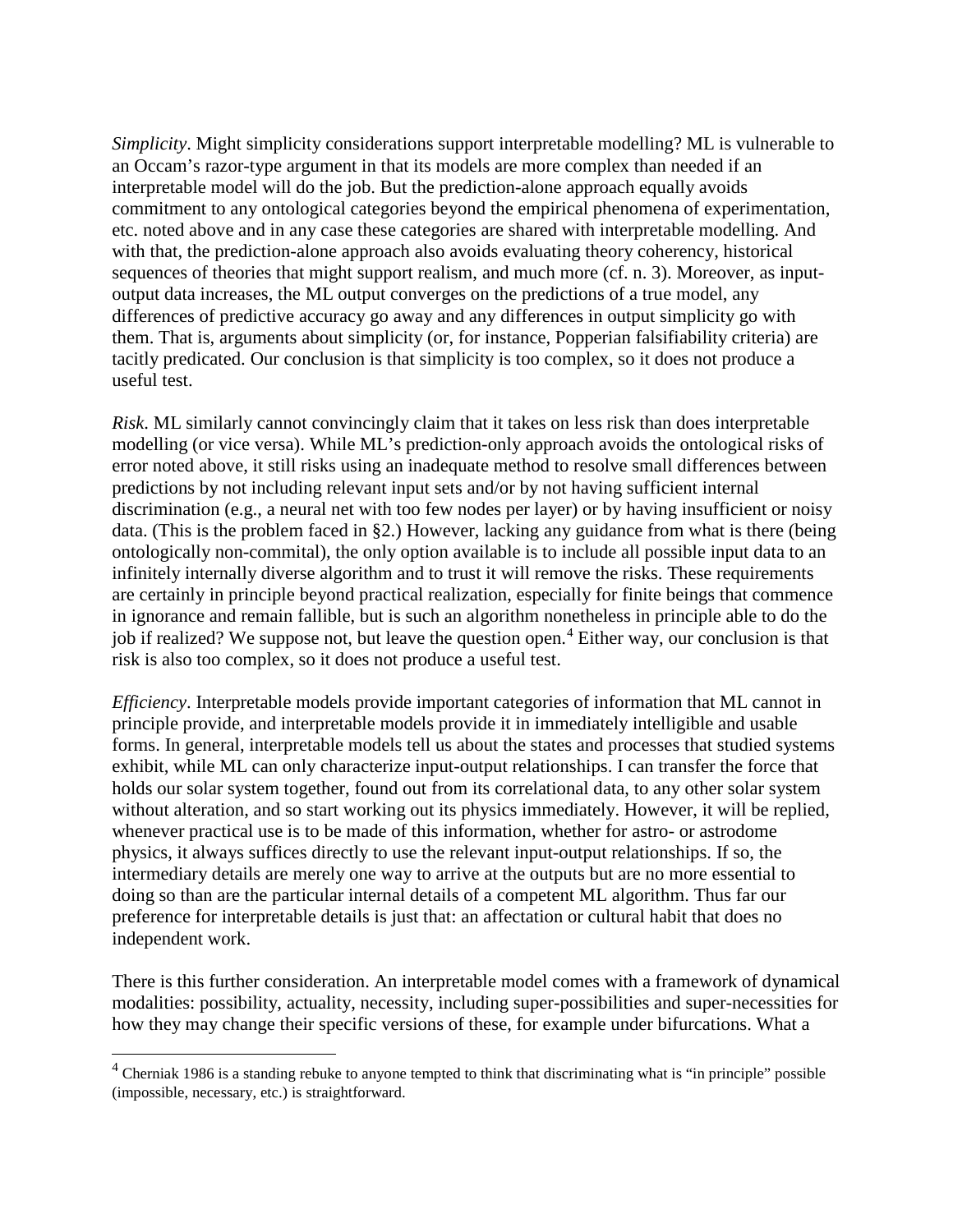*Simplicity*. Might simplicity considerations support interpretable modelling? ML is vulnerable to an Occam's razor-type argument in that its models are more complex than needed if an interpretable model will do the job. But the prediction-alone approach equally avoids commitment to any ontological categories beyond the empirical phenomena of experimentation, etc. noted above and in any case these categories are shared with interpretable modelling. And with that, the prediction-alone approach also avoids evaluating theory coherency, historical sequences of theories that might support realism, and much more (cf. n. 3). Moreover, as inputoutput data increases, the ML output converges on the predictions of a true model, any differences of predictive accuracy go away and any differences in output simplicity go with them. That is, arguments about simplicity (or, for instance, Popperian falsifiability criteria) are tacitly predicated. Our conclusion is that simplicity is too complex, so it does not produce a useful test.

*Risk*. ML similarly cannot convincingly claim that it takes on less risk than does interpretable modelling (or vice versa). While ML's prediction-only approach avoids the ontological risks of error noted above, it still risks using an inadequate method to resolve small differences between predictions by not including relevant input sets and/or by not having sufficient internal discrimination (e.g., a neural net with too few nodes per layer) or by having insufficient or noisy data. (This is the problem faced in §2.) However, lacking any guidance from what is there (being ontologically non-commital), the only option available is to include all possible input data to an infinitely internally diverse algorithm and to trust it will remove the risks. These requirements are certainly in principle beyond practical realization, especially for finite beings that commence in ignorance and remain fallible, but is such an algorithm nonetheless in principle able to do the job if realized? We suppose not, but leave the question open.<sup>[4](#page-3-0)</sup> Either way, our conclusion is that risk is also too complex, so it does not produce a useful test.

*Efficiency*. Interpretable models provide important categories of information that ML cannot in principle provide, and interpretable models provide it in immediately intelligible and usable forms. In general, interpretable models tell us about the states and processes that studied systems exhibit, while ML can only characterize input-output relationships. I can transfer the force that holds our solar system together, found out from its correlational data, to any other solar system without alteration, and so start working out its physics immediately. However, it will be replied, whenever practical use is to be made of this information, whether for astro- or astrodome physics, it always suffices directly to use the relevant input-output relationships. If so, the intermediary details are merely one way to arrive at the outputs but are no more essential to doing so than are the particular internal details of a competent ML algorithm. Thus far our preference for interpretable details is just that: an affectation or cultural habit that does no independent work.

There is this further consideration. An interpretable model comes with a framework of dynamical modalities: possibility, actuality, necessity, including super-possibilities and super-necessities for how they may change their specific versions of these, for example under bifurcations. What a

<span id="page-3-0"></span> $4$  Cherniak 1986 is a standing rebuke to anyone tempted to think that discriminating what is "in principle" possible (impossible, necessary, etc.) is straightforward.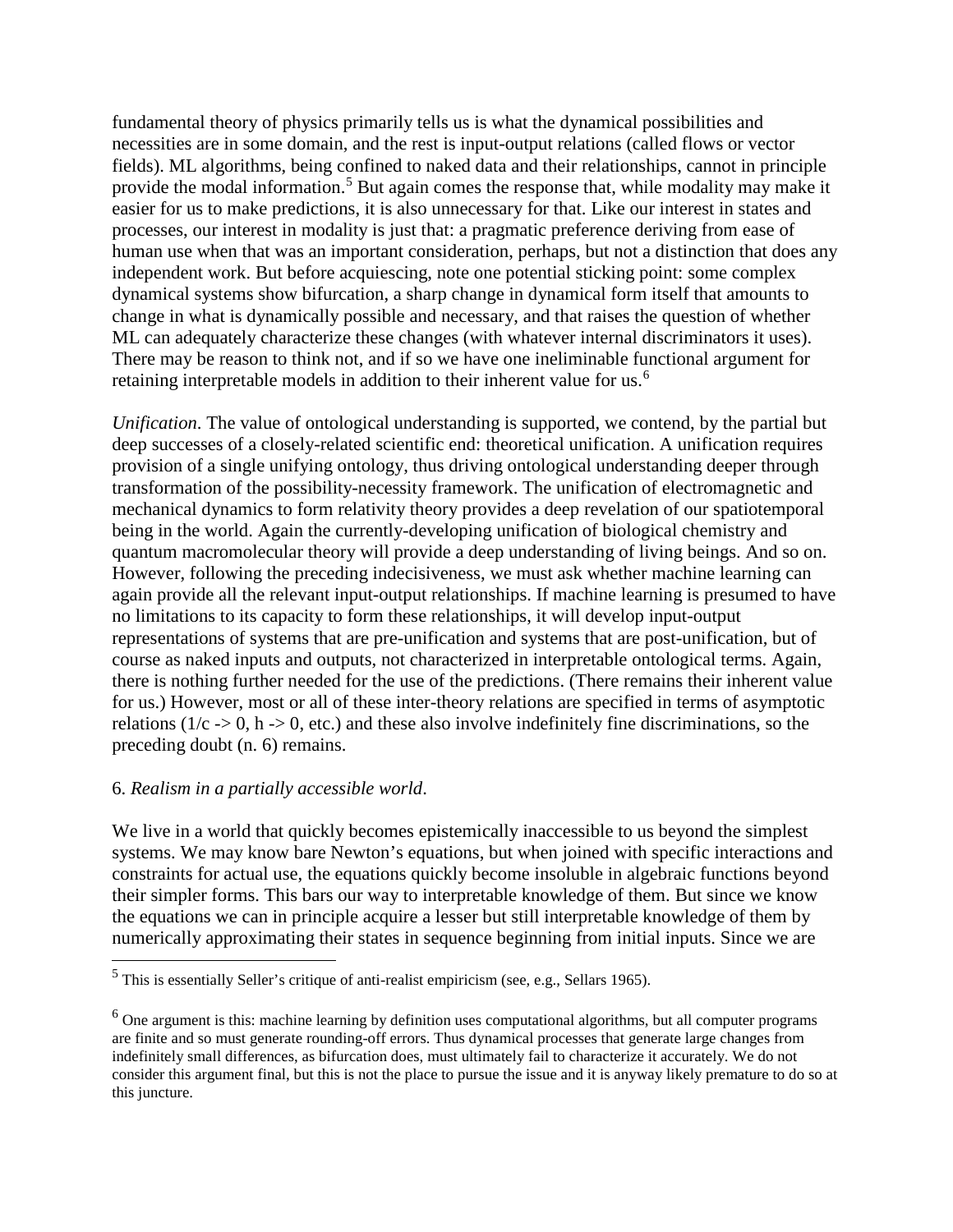fundamental theory of physics primarily tells us is what the dynamical possibilities and necessities are in some domain, and the rest is input-output relations (called flows or vector fields). ML algorithms, being confined to naked data and their relationships, cannot in principle provide the modal information.<sup>[5](#page-4-0)</sup> But again comes the response that, while modality may make it easier for us to make predictions, it is also unnecessary for that. Like our interest in states and processes, our interest in modality is just that: a pragmatic preference deriving from ease of human use when that was an important consideration, perhaps, but not a distinction that does any independent work. But before acquiescing, note one potential sticking point: some complex dynamical systems show bifurcation, a sharp change in dynamical form itself that amounts to change in what is dynamically possible and necessary, and that raises the question of whether ML can adequately characterize these changes (with whatever internal discriminators it uses). There may be reason to think not, and if so we have one ineliminable functional argument for retaining interpretable models in addition to their inherent value for us.<sup>[6](#page-4-1)</sup>

*Unification*. The value of ontological understanding is supported, we contend, by the partial but deep successes of a closely-related scientific end: theoretical unification. A unification requires provision of a single unifying ontology, thus driving ontological understanding deeper through transformation of the possibility-necessity framework. The unification of electromagnetic and mechanical dynamics to form relativity theory provides a deep revelation of our spatiotemporal being in the world. Again the currently-developing unification of biological chemistry and quantum macromolecular theory will provide a deep understanding of living beings. And so on. However, following the preceding indecisiveness, we must ask whether machine learning can again provide all the relevant input-output relationships. If machine learning is presumed to have no limitations to its capacity to form these relationships, it will develop input-output representations of systems that are pre-unification and systems that are post-unification, but of course as naked inputs and outputs, not characterized in interpretable ontological terms. Again, there is nothing further needed for the use of the predictions. (There remains their inherent value for us.) However, most or all of these inter-theory relations are specified in terms of asymptotic relations ( $1/c \rightarrow 0$ , h $\rightarrow 0$ , etc.) and these also involve indefinitely fine discriminations, so the preceding doubt (n. 6) remains.

### 6. *Realism in a partially accessible world*.

We live in a world that quickly becomes epistemically inaccessible to us beyond the simplest systems. We may know bare Newton's equations, but when joined with specific interactions and constraints for actual use, the equations quickly become insoluble in algebraic functions beyond their simpler forms. This bars our way to interpretable knowledge of them. But since we know the equations we can in principle acquire a lesser but still interpretable knowledge of them by numerically approximating their states in sequence beginning from initial inputs. Since we are

<span id="page-4-0"></span> $<sup>5</sup>$  This is essentially Seller's critique of anti-realist empiricism (see, e.g., Sellars 1965).</sup>

<span id="page-4-1"></span> $6$  One argument is this: machine learning by definition uses computational algorithms, but all computer programs are finite and so must generate rounding-off errors. Thus dynamical processes that generate large changes from indefinitely small differences, as bifurcation does, must ultimately fail to characterize it accurately. We do not consider this argument final, but this is not the place to pursue the issue and it is anyway likely premature to do so at this juncture.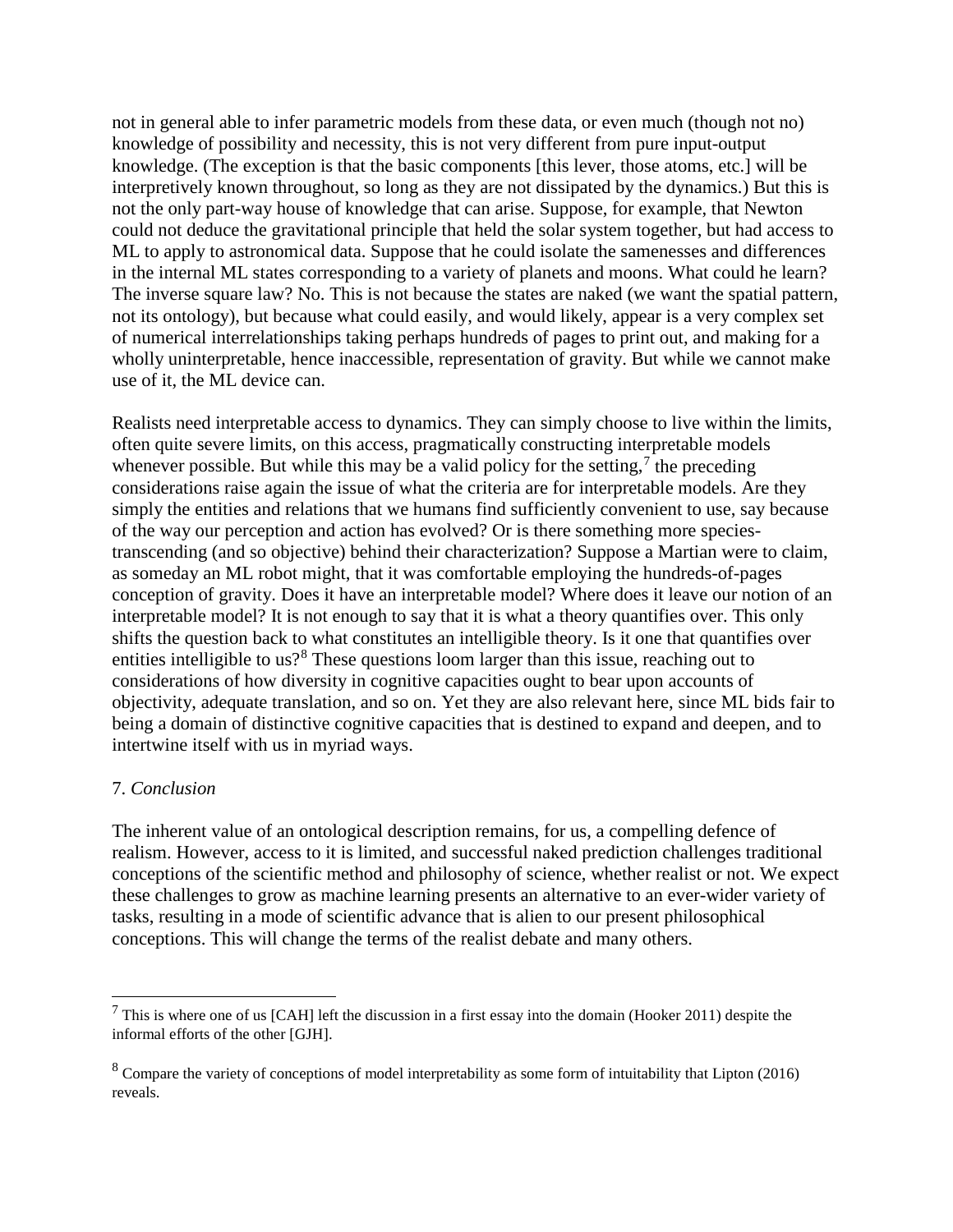not in general able to infer parametric models from these data, or even much (though not no) knowledge of possibility and necessity, this is not very different from pure input-output knowledge. (The exception is that the basic components [this lever, those atoms, etc.] will be interpretively known throughout, so long as they are not dissipated by the dynamics.) But this is not the only part-way house of knowledge that can arise. Suppose, for example, that Newton could not deduce the gravitational principle that held the solar system together, but had access to ML to apply to astronomical data. Suppose that he could isolate the samenesses and differences in the internal ML states corresponding to a variety of planets and moons. What could he learn? The inverse square law? No. This is not because the states are naked (we want the spatial pattern, not its ontology), but because what could easily, and would likely, appear is a very complex set of numerical interrelationships taking perhaps hundreds of pages to print out, and making for a wholly uninterpretable, hence inaccessible, representation of gravity. But while we cannot make use of it, the ML device can.

Realists need interpretable access to dynamics. They can simply choose to live within the limits, often quite severe limits, on this access, pragmatically constructing interpretable models whenever possible. But while this may be a valid policy for the setting,<sup>[7](#page-5-0)</sup> the preceding considerations raise again the issue of what the criteria are for interpretable models. Are they simply the entities and relations that we humans find sufficiently convenient to use, say because of the way our perception and action has evolved? Or is there something more speciestranscending (and so objective) behind their characterization? Suppose a Martian were to claim, as someday an ML robot might, that it was comfortable employing the hundreds-of-pages conception of gravity. Does it have an interpretable model? Where does it leave our notion of an interpretable model? It is not enough to say that it is what a theory quantifies over. This only shifts the question back to what constitutes an intelligible theory. Is it one that quantifies over entities intelligible to us?<sup>[8](#page-5-1)</sup> These questions loom larger than this issue, reaching out to considerations of how diversity in cognitive capacities ought to bear upon accounts of objectivity, adequate translation, and so on. Yet they are also relevant here, since ML bids fair to being a domain of distinctive cognitive capacities that is destined to expand and deepen, and to intertwine itself with us in myriad ways.

### 7. *Conclusion*

The inherent value of an ontological description remains, for us, a compelling defence of realism. However, access to it is limited, and successful naked prediction challenges traditional conceptions of the scientific method and philosophy of science, whether realist or not. We expect these challenges to grow as machine learning presents an alternative to an ever-wider variety of tasks, resulting in a mode of scientific advance that is alien to our present philosophical conceptions. This will change the terms of the realist debate and many others.

<span id="page-5-0"></span> <sup>7</sup> This is where one of us [CAH] left the discussion in a first essay into the domain (Hooker 2011) despite the informal efforts of the other [GJH].

<span id="page-5-1"></span><sup>&</sup>lt;sup>8</sup> Compare the variety of conceptions of model interpretability as some form of intuitability that Lipton (2016) reveals.